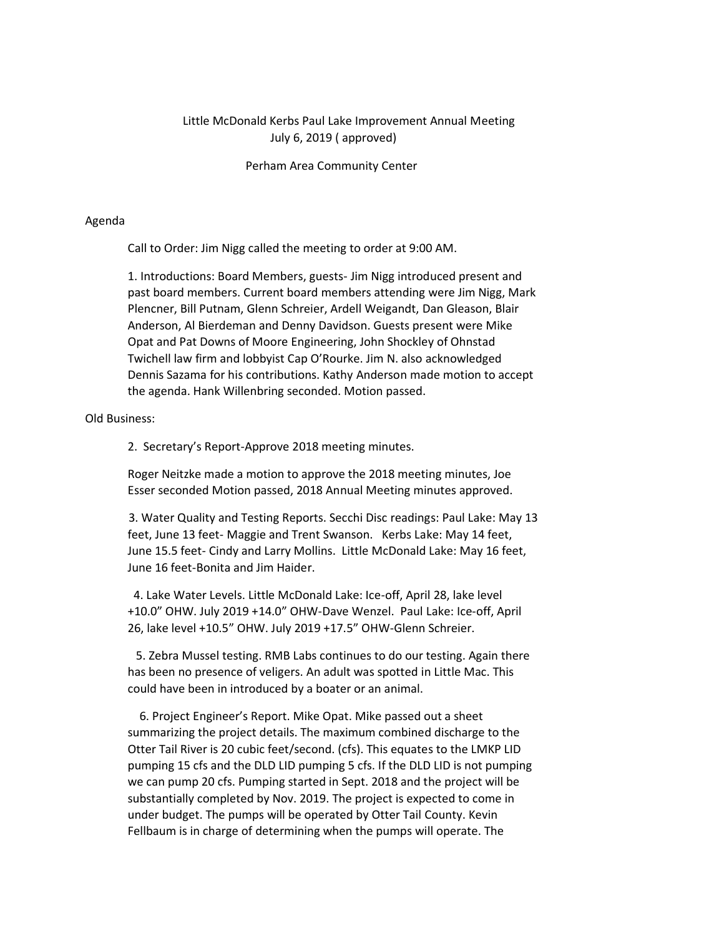## Little McDonald Kerbs Paul Lake Improvement Annual Meeting July 6, 2019 ( approved)

Perham Area Community Center

## Agenda

Call to Order: Jim Nigg called the meeting to order at 9:00 AM.

1. Introductions: Board Members, guests- Jim Nigg introduced present and past board members. Current board members attending were Jim Nigg, Mark Plencner, Bill Putnam, Glenn Schreier, Ardell Weigandt, Dan Gleason, Blair Anderson, Al Bierdeman and Denny Davidson. Guests present were Mike Opat and Pat Downs of Moore Engineering, John Shockley of Ohnstad Twichell law firm and lobbyist Cap O'Rourke. Jim N. also acknowledged Dennis Sazama for his contributions. Kathy Anderson made motion to accept the agenda. Hank Willenbring seconded. Motion passed.

## Old Business:

2. Secretary's Report-Approve 2018 meeting minutes.

Roger Neitzke made a motion to approve the 2018 meeting minutes, Joe Esser seconded Motion passed, 2018 Annual Meeting minutes approved.

3. Water Quality and Testing Reports. Secchi Disc readings: Paul Lake: May 13 feet, June 13 feet- Maggie and Trent Swanson. Kerbs Lake: May 14 feet, June 15.5 feet- Cindy and Larry Mollins. Little McDonald Lake: May 16 feet, June 16 feet-Bonita and Jim Haider.

4. Lake Water Levels. Little McDonald Lake: Ice-off, April 28, lake level +10.0" OHW. July 2019 +14.0" OHW-Dave Wenzel. Paul Lake: Ice-off, April 26, lake level +10.5" OHW. July 2019 +17.5" OHW-Glenn Schreier.

5. Zebra Mussel testing. RMB Labs continues to do our testing. Again there has been no presence of veligers. An adult was spotted in Little Mac. This could have been in introduced by a boater or an animal.

6. Project Engineer's Report. Mike Opat. Mike passed out a sheet summarizing the project details. The maximum combined discharge to the Otter Tail River is 20 cubic feet/second. (cfs). This equates to the LMKP LID pumping 15 cfs and the DLD LID pumping 5 cfs. If the DLD LID is not pumping we can pump 20 cfs. Pumping started in Sept. 2018 and the project will be substantially completed by Nov. 2019. The project is expected to come in under budget. The pumps will be operated by Otter Tail County. Kevin Fellbaum is in charge of determining when the pumps will operate. The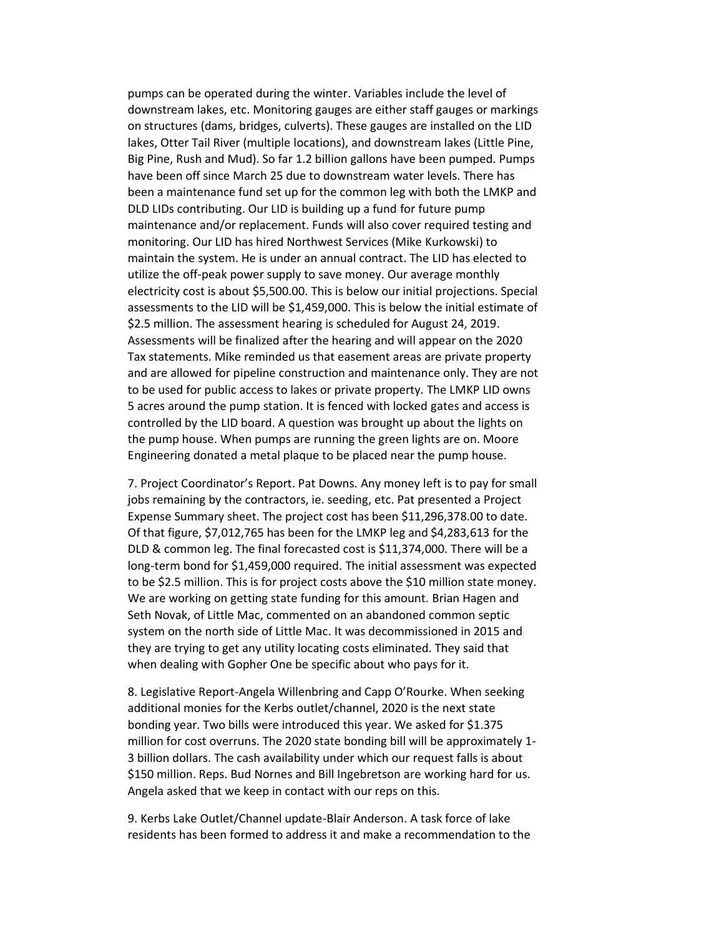pumps can be operated during the winter. Variables include the level of downstream lakes, etc. Monitoring gauges are either staff gauges or markings on structures (dams, bridges, culverts). These gauges are installed on the LID lakes, Otter Tail River (multiple locations), and downstream lakes (Little Pine, Big Pine, Rush and Mud). So far 1.2 billion gallons have been pumped. Pumps have been off since March 25 due to downstream water levels. There has been a maintenance fund set up for the common leg with both the LMKP and DLD LIDs contributing. Our LID is building up a fund for future pump maintenance and/or replacement. Funds will also cover required testing and monitoring. Our LID has hired Northwest Services (Mike Kurkowski) to maintain the system. He is under an annual contract. The LID has elected to utilize the off-peak power supply to save money. Our average monthly electricity cost is about \$5,500.00. This is below our initial projections. Special assessments to the LID will be \$1,459,000. This is below the initial estimate of \$2.5 million. The assessment hearing is scheduled for August 24, 2019. Assessments will be finalized after the hearing and will appear on the 2020 Tax statements. Mike reminded us that easement areas are private property and are allowed for pipeline construction and maintenance only. They are not to be used for public access to lakes or private property. The LMKP LID owns 5 acres around the pump station. It is fenced with locked gates and access is controlled by the LID board. A question was brought up about the lights on the pump house. When pumps are running the green lights are on. Moore Engineering donated a metal plaque to be placed near the pump house.

7. Project Coordinator's Report. Pat Downs. Any money left is to pay for small jobs remaining by the contractors, ie. seeding, etc. Pat presented a Project Expense Summary sheet. The project cost has been \$11,296,378.00 to date. Of that figure, \$7,012,765 has been for the LMKP leg and \$4,283,613 for the DLD & common leg. The final forecasted cost is \$11,374,000. There will be a long-term bond for \$1,459,000 required. The initial assessment was expected to be \$2.5 million. This is for project costs above the \$10 million state money. We are working on getting state funding for this amount. Brian Hagen and Seth Novak, of Little Mac, commented on an abandoned common septic system on the north side of Little Mac. It was decommissioned in 2015 and they are trying to get any utility locating costs eliminated. They said that when dealing with Gopher One be specific about who pays for it.

8. Legislative Report-Angela Willenbring and Capp O'Rourke. When seeking additional monies for the Kerbs outlet/channel, 2020 is the next state bonding year. Two bills were introduced this year. We asked for \$1.375 million for cost overruns. The 2020 state bonding bill will be approximately 1- 3 billion dollars. The cash availability under which our request falls is about \$150 million. Reps. Bud Nornes and Bill Ingebretson are working hard for us. Angela asked that we keep in contact with our reps on this.

9. Kerbs Lake Outlet/Channel update-Blair Anderson. A task force of lake residents has been formed to address it and make a recommendation to the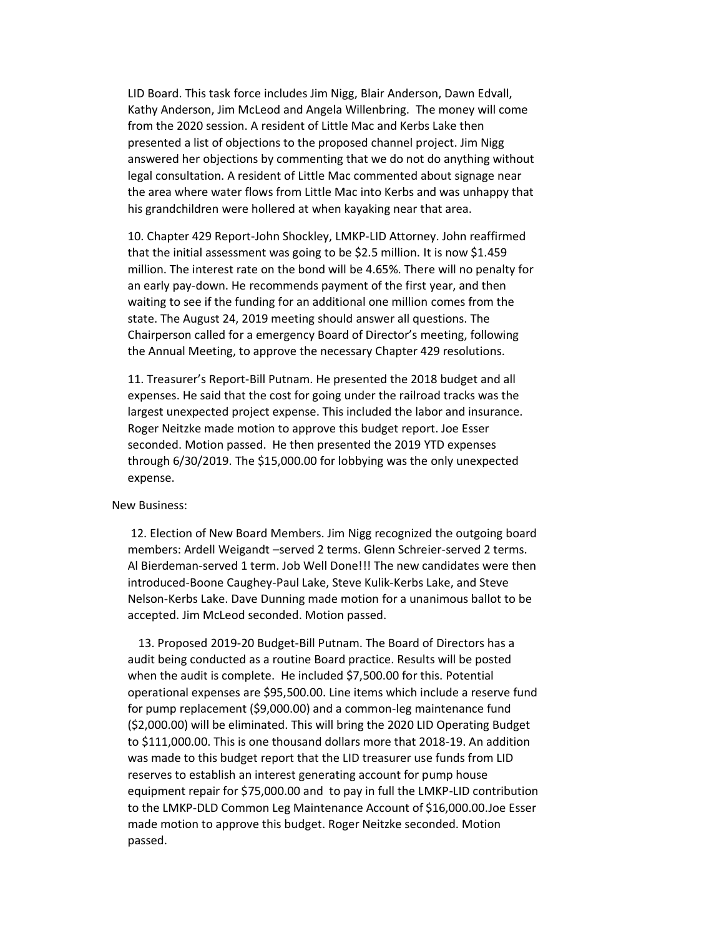LID Board. This task force includes Jim Nigg, Blair Anderson, Dawn Edvall, Kathy Anderson, Jim McLeod and Angela Willenbring. The money will come from the 2020 session. A resident of Little Mac and Kerbs Lake then presented a list of objections to the proposed channel project. Jim Nigg answered her objections by commenting that we do not do anything without legal consultation. A resident of Little Mac commented about signage near the area where water flows from Little Mac into Kerbs and was unhappy that his grandchildren were hollered at when kayaking near that area.

10. Chapter 429 Report-John Shockley, LMKP-LID Attorney. John reaffirmed that the initial assessment was going to be \$2.5 million. It is now \$1.459 million. The interest rate on the bond will be 4.65%. There will no penalty for an early pay-down. He recommends payment of the first year, and then waiting to see if the funding for an additional one million comes from the state. The August 24, 2019 meeting should answer all questions. The Chairperson called for a emergency Board of Director's meeting, following the Annual Meeting, to approve the necessary Chapter 429 resolutions.

11. Treasurer's Report-Bill Putnam. He presented the 2018 budget and all expenses. He said that the cost for going under the railroad tracks was the largest unexpected project expense. This included the labor and insurance. Roger Neitzke made motion to approve this budget report. Joe Esser seconded. Motion passed. He then presented the 2019 YTD expenses through 6/30/2019. The \$15,000.00 for lobbying was the only unexpected expense.

## New Business:

12. Election of New Board Members. Jim Nigg recognized the outgoing board members: Ardell Weigandt –served 2 terms. Glenn Schreier-served 2 terms. Al Bierdeman-served 1 term. Job Well Done!!! The new candidates were then introduced-Boone Caughey-Paul Lake, Steve Kulik-Kerbs Lake, and Steve Nelson-Kerbs Lake. Dave Dunning made motion for a unanimous ballot to be accepted. Jim McLeod seconded. Motion passed.

13. Proposed 2019-20 Budget-Bill Putnam. The Board of Directors has a audit being conducted as a routine Board practice. Results will be posted when the audit is complete. He included \$7,500.00 for this. Potential operational expenses are \$95,500.00. Line items which include a reserve fund for pump replacement (\$9,000.00) and a common-leg maintenance fund (\$2,000.00) will be eliminated. This will bring the 2020 LID Operating Budget to \$111,000.00. This is one thousand dollars more that 2018-19. An addition was made to this budget report that the LID treasurer use funds from LID reserves to establish an interest generating account for pump house equipment repair for \$75,000.00 and to pay in full the LMKP-LID contribution to the LMKP-DLD Common Leg Maintenance Account of \$16,000.00.Joe Esser made motion to approve this budget. Roger Neitzke seconded. Motion passed.